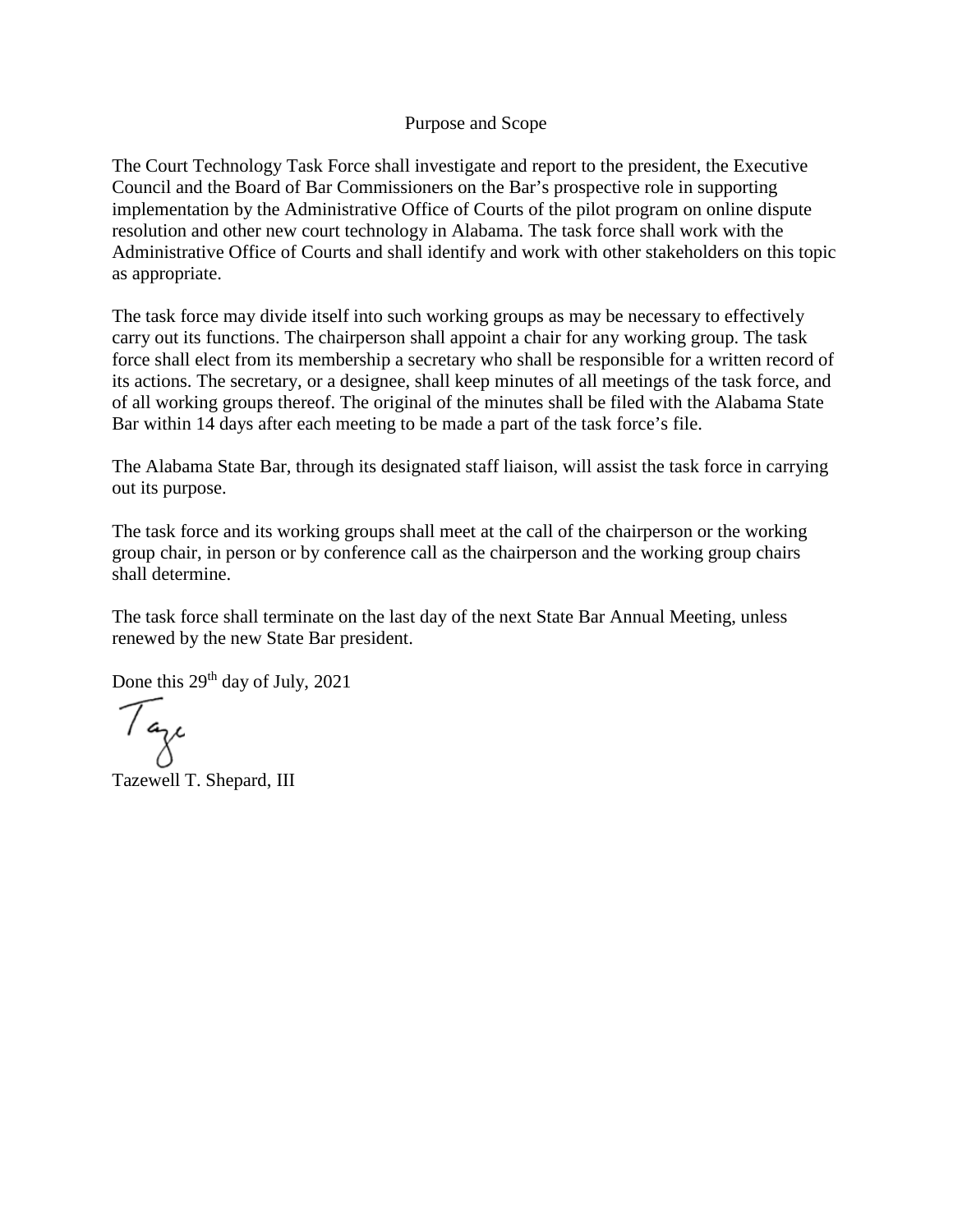#### Purpose and Scope

The Court Technology Task Force shall investigate and report to the president, the Executive Council and the Board of Bar Commissioners on the Bar's prospective role in supporting implementation by the Administrative Office of Courts of the pilot program on online dispute resolution and other new court technology in Alabama. The task force shall work with the Administrative Office of Courts and shall identify and work with other stakeholders on this topic as appropriate.

The task force may divide itself into such working groups as may be necessary to effectively carry out its functions. The chairperson shall appoint a chair for any working group. The task force shall elect from its membership a secretary who shall be responsible for a written record of its actions. The secretary, or a designee, shall keep minutes of all meetings of the task force, and of all working groups thereof. The original of the minutes shall be filed with the Alabama State Bar within 14 days after each meeting to be made a part of the task force's file.

The Alabama State Bar, through its designated staff liaison, will assist the task force in carrying out its purpose.

The task force and its working groups shall meet at the call of the chairperson or the working group chair, in person or by conference call as the chairperson and the working group chairs shall determine.

The task force shall terminate on the last day of the next State Bar Annual Meeting, unless renewed by the new State Bar president.

Done this  $29<sup>th</sup>$  day of July,  $2021$ 

Taze

Tazewell T. Shepard, III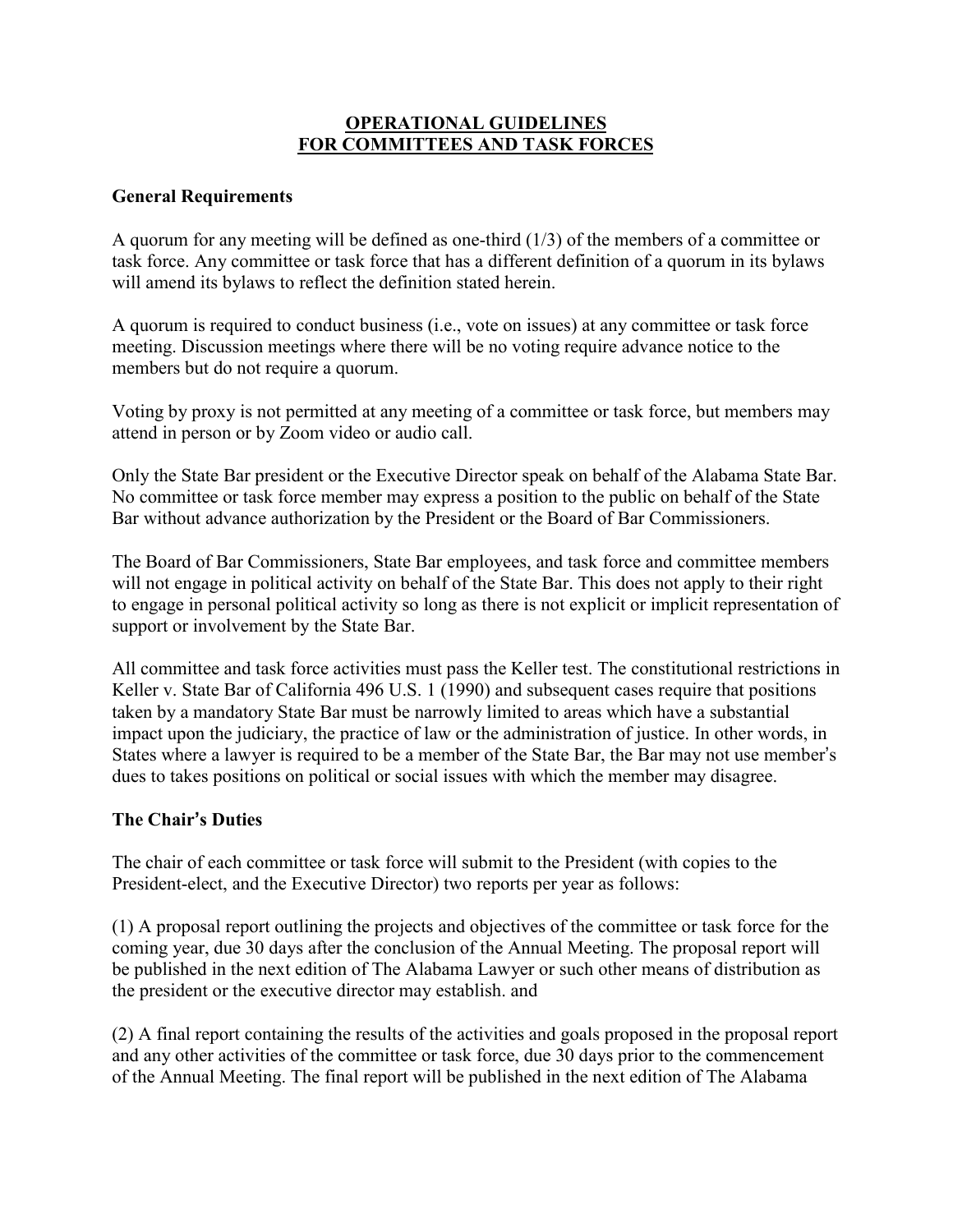## **OPERATIONAL GUIDELINES FOR COMMITTEES AND TASK FORCES**

### **General Requirements**

A quorum for any meeting will be defined as one-third (1/3) of the members of a committee or task force. Any committee or task force that has a different definition of a quorum in its bylaws will amend its bylaws to reflect the definition stated herein.

A quorum is required to conduct business (i.e., vote on issues) at any committee or task force meeting. Discussion meetings where there will be no voting require advance notice to the members but do not require a quorum.

Voting by proxy is not permitted at any meeting of a committee or task force, but members may attend in person or by Zoom video or audio call.

Only the State Bar president or the Executive Director speak on behalf of the Alabama State Bar. No committee or task force member may express a position to the public on behalf of the State Bar without advance authorization by the President or the Board of Bar Commissioners.

The Board of Bar Commissioners, State Bar employees, and task force and committee members will not engage in political activity on behalf of the State Bar. This does not apply to their right to engage in personal political activity so long as there is not explicit or implicit representation of support or involvement by the State Bar.

All committee and task force activities must pass the Keller test. The constitutional restrictions in Keller v. State Bar of California 496 U.S. 1 (1990) and subsequent cases require that positions taken by a mandatory State Bar must be narrowly limited to areas which have a substantial impact upon the judiciary, the practice of law or the administration of justice. In other words, in States where a lawyer is required to be a member of the State Bar, the Bar may not use member's dues to takes positions on political or social issues with which the member may disagree.

# **The Chair's Duties**

The chair of each committee or task force will submit to the President (with copies to the President-elect, and the Executive Director) two reports per year as follows:

(1) A proposal report outlining the projects and objectives of the committee or task force for the coming year, due 30 days after the conclusion of the Annual Meeting. The proposal report will be published in the next edition of The Alabama Lawyer or such other means of distribution as the president or the executive director may establish. and

(2) A final report containing the results of the activities and goals proposed in the proposal report and any other activities of the committee or task force, due 30 days prior to the commencement of the Annual Meeting. The final report will be published in the next edition of The Alabama